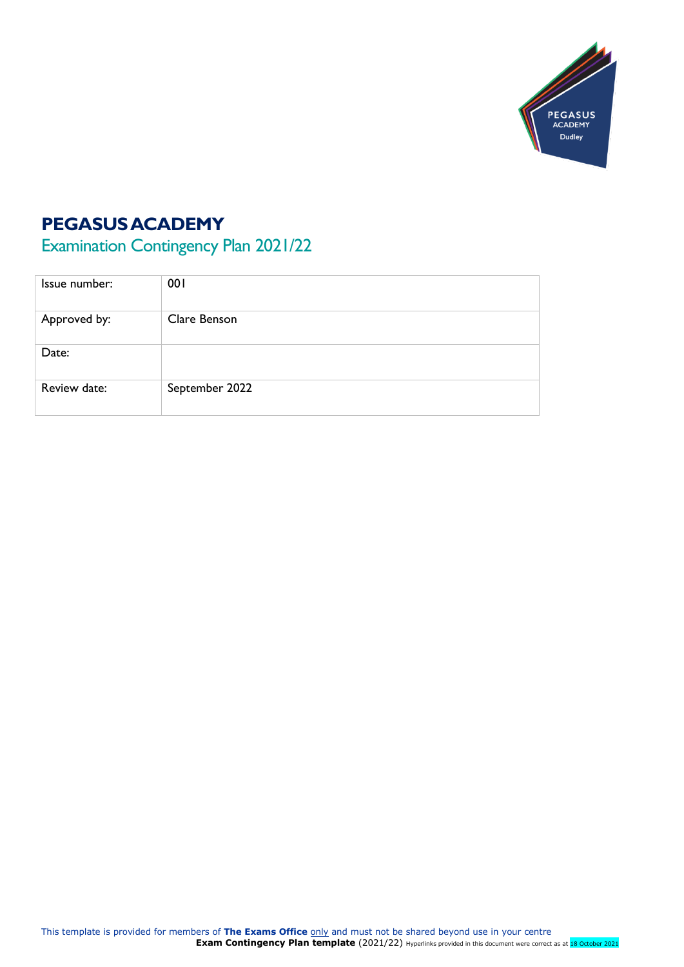

# **PEGASUS ACADEMY**

Examination Contingency Plan 2021/22

| Issue number: | 001            |
|---------------|----------------|
| Approved by:  | Clare Benson   |
| Date:         |                |
| Review date:  | September 2022 |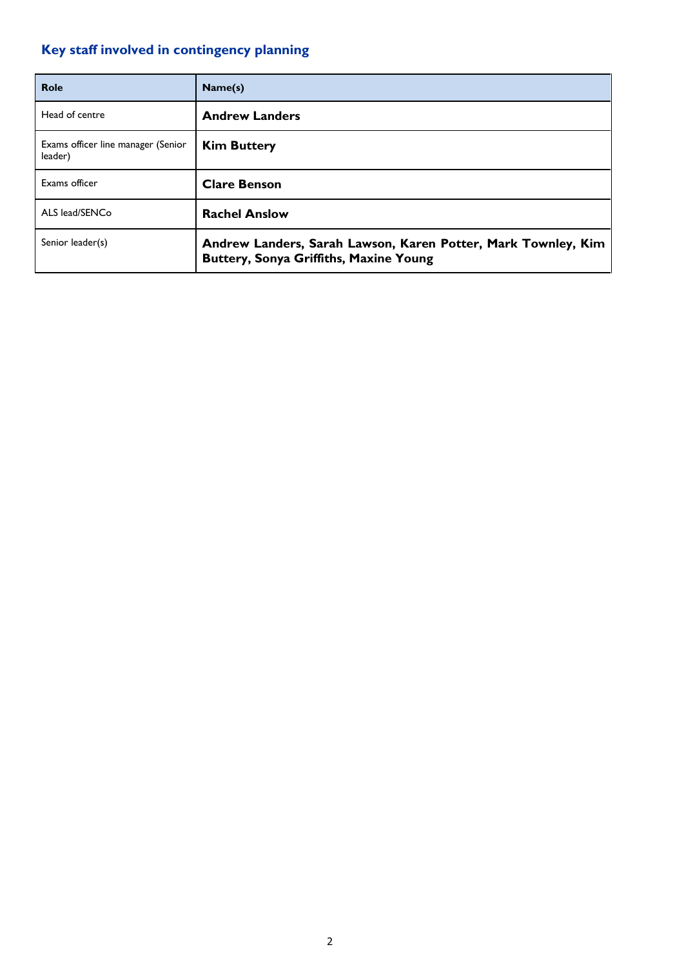# <span id="page-1-0"></span>**Key staff involved in contingency planning**

| Role                                          | Name(s)                                                                                                        |
|-----------------------------------------------|----------------------------------------------------------------------------------------------------------------|
| Head of centre                                | <b>Andrew Landers</b>                                                                                          |
| Exams officer line manager (Senior<br>leader) | <b>Kim Buttery</b>                                                                                             |
| Exams officer                                 | <b>Clare Benson</b>                                                                                            |
| ALS lead/SENCo                                | <b>Rachel Anslow</b>                                                                                           |
| Senior leader(s)                              | Andrew Landers, Sarah Lawson, Karen Potter, Mark Townley, Kim<br><b>Buttery, Sonya Griffiths, Maxine Young</b> |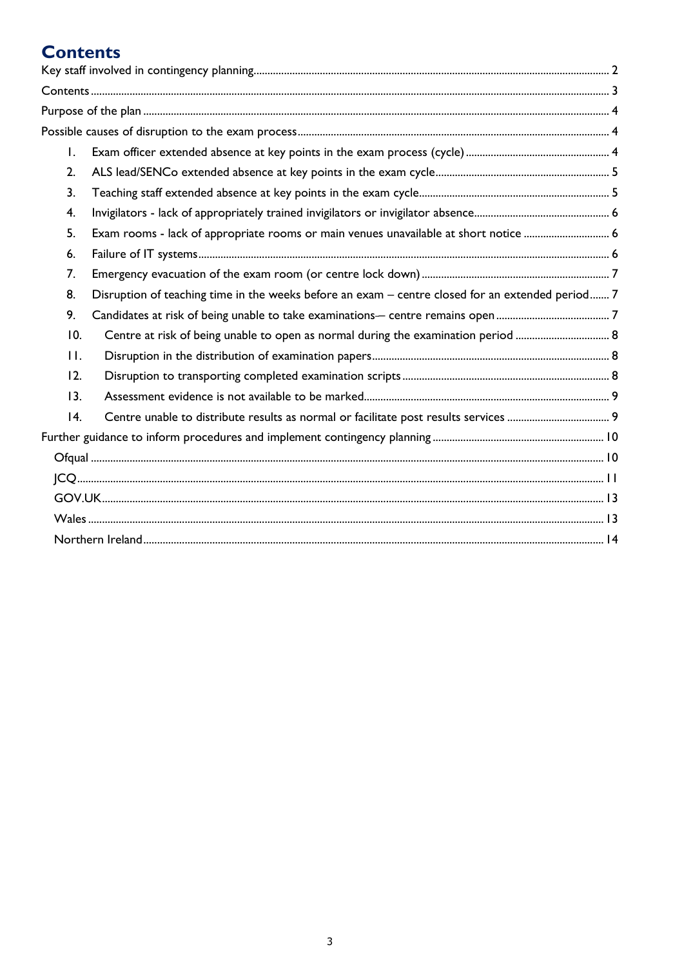# <span id="page-2-0"></span>**Contents**

| $\mathsf{L}$ |                                                                                                  |  |
|--------------|--------------------------------------------------------------------------------------------------|--|
| 2.           |                                                                                                  |  |
| 3.           |                                                                                                  |  |
| 4.           |                                                                                                  |  |
| 5.           | Exam rooms - lack of appropriate rooms or main venues unavailable at short notice  6             |  |
| 6.           |                                                                                                  |  |
| 7.           |                                                                                                  |  |
| 8.           | Disruption of teaching time in the weeks before an exam - centre closed for an extended period 7 |  |
| 9.           |                                                                                                  |  |
| 10.          | Centre at risk of being unable to open as normal during the examination period  8                |  |
| $\Pi$ .      |                                                                                                  |  |
| 12.          |                                                                                                  |  |
| 13.          |                                                                                                  |  |
| 4.           |                                                                                                  |  |
|              |                                                                                                  |  |
|              |                                                                                                  |  |
|              |                                                                                                  |  |
|              |                                                                                                  |  |
|              |                                                                                                  |  |
|              |                                                                                                  |  |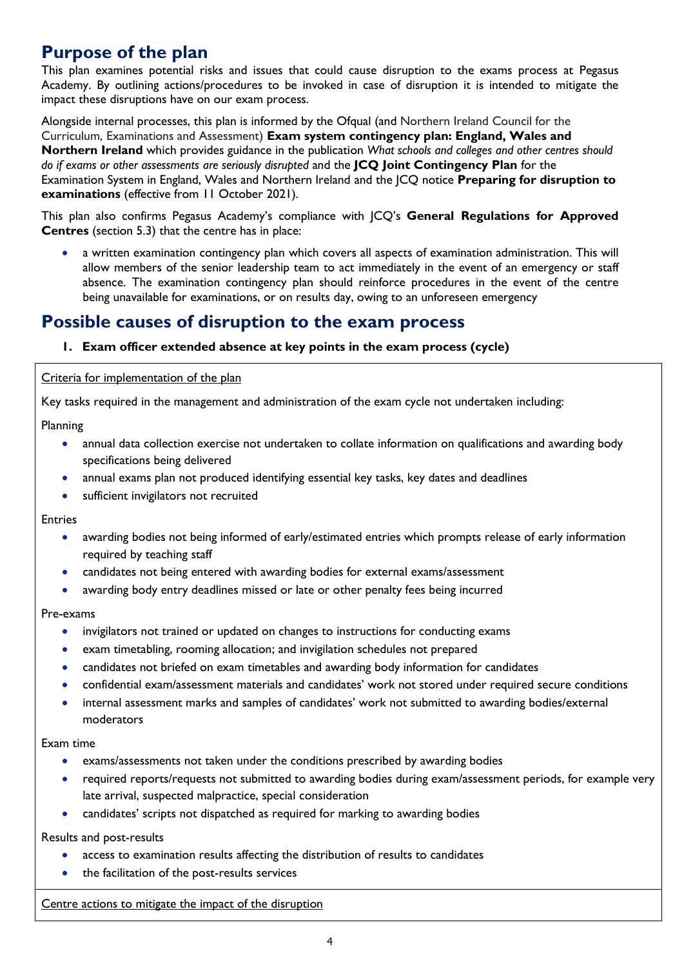# <span id="page-3-0"></span>**Purpose of the plan**

This plan examines potential risks and issues that could cause disruption to the exams process at Pegasus Academy. By outlining actions/procedures to be invoked in case of disruption it is intended to mitigate the impact these disruptions have on our exam process.

Alongside internal processes, this plan is informed by the Ofqual (and Northern Ireland Council for the Curriculum, Examinations and Assessment) **Exam system contingency plan: England, Wales and Northern Ireland** which provides guidance in the publication *What schools and colleges and other centres should do if exams or other assessments are seriously disrupted* and the **JCQ Joint Contingency Plan** for the Examination System in England, Wales and Northern Ireland and the JCQ notice **Preparing for disruption to examinations** (effective from 11 October 2021)*.*

This plan also confirms Pegasus Academy's compliance with JCQ's **General Regulations for Approved Centres** (section 5.3) that the centre has in place:

• a written examination contingency plan which covers all aspects of examination administration. This will allow members of the senior leadership team to act immediately in the event of an emergency or staff absence. The examination contingency plan should reinforce procedures in the event of the centre being unavailable for examinations, or on results day, owing to an unforeseen emergency

# <span id="page-3-2"></span><span id="page-3-1"></span>**Possible causes of disruption to the exam process**

# **1. Exam officer extended absence at key points in the exam process (cycle)**

Criteria for implementation of the plan

Key tasks required in the management and administration of the exam cycle not undertaken including:

Planning

- annual data collection exercise not undertaken to collate information on qualifications and awarding body specifications being delivered
- annual exams plan not produced identifying essential key tasks, key dates and deadlines
- sufficient invigilators not recruited

Entries

- awarding bodies not being informed of early/estimated entries which prompts release of early information required by teaching staff
- candidates not being entered with awarding bodies for external exams/assessment
- awarding body entry deadlines missed or late or other penalty fees being incurred

Pre-exams

- invigilators not trained or updated on changes to instructions for conducting exams
- exam timetabling, rooming allocation; and invigilation schedules not prepared
- candidates not briefed on exam timetables and awarding body information for candidates
- confidential exam/assessment materials and candidates' work not stored under required secure conditions
- internal assessment marks and samples of candidates' work not submitted to awarding bodies/external moderators

Exam time

- exams/assessments not taken under the conditions prescribed by awarding bodies
- required reports/requests not submitted to awarding bodies during exam/assessment periods, for example very late arrival, suspected malpractice, special consideration
- candidates' scripts not dispatched as required for marking to awarding bodies

Results and post-results

- access to examination results affecting the distribution of results to candidates
- the facilitation of the post-results services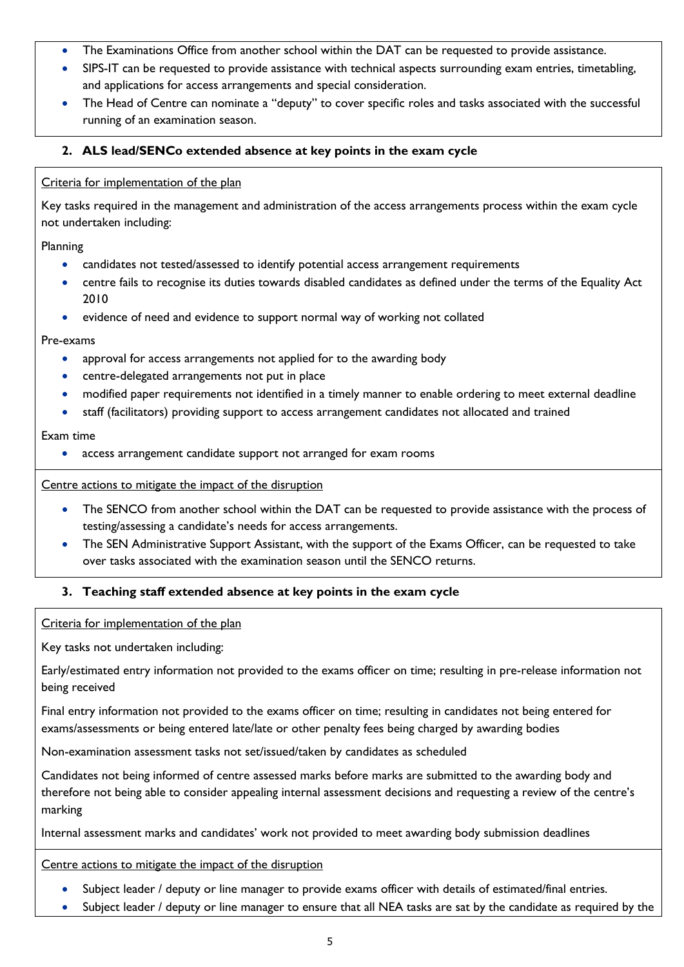- The Examinations Office from another school within the DAT can be requested to provide assistance.
- SIPS-IT can be requested to provide assistance with technical aspects surrounding exam entries, timetabling, and applications for access arrangements and special consideration.
- The Head of Centre can nominate a "deputy" to cover specific roles and tasks associated with the successful running of an examination season.

# <span id="page-4-0"></span>**2. ALS lead/SENCo extended absence at key points in the exam cycle**

## Criteria for implementation of the plan

Key tasks required in the management and administration of the access arrangements process within the exam cycle not undertaken including:

Planning

- candidates not tested/assessed to identify potential access arrangement requirements
- centre fails to recognise its duties towards disabled candidates as defined under the terms of the Equality Act 2010
- evidence of need and evidence to support normal way of working not collated

## Pre-exams

- approval for access arrangements not applied for to the awarding body
- centre-delegated arrangements not put in place
- modified paper requirements not identified in a timely manner to enable ordering to meet external deadline
- staff (facilitators) providing support to access arrangement candidates not allocated and trained

## Exam time

• access arrangement candidate support not arranged for exam rooms

## Centre actions to mitigate the impact of the disruption

- The SENCO from another school within the DAT can be requested to provide assistance with the process of testing/assessing a candidate's needs for access arrangements.
- The SEN Administrative Support Assistant, with the support of the Exams Officer, can be requested to take over tasks associated with the examination season until the SENCO returns.

# <span id="page-4-1"></span>**3. Teaching staff extended absence at key points in the exam cycle**

Criteria for implementation of the plan

Key tasks not undertaken including:

Early/estimated entry information not provided to the exams officer on time; resulting in pre-release information not being received

Final entry information not provided to the exams officer on time; resulting in candidates not being entered for exams/assessments or being entered late/late or other penalty fees being charged by awarding bodies

Non-examination assessment tasks not set/issued/taken by candidates as scheduled

Candidates not being informed of centre assessed marks before marks are submitted to the awarding body and therefore not being able to consider appealing internal assessment decisions and requesting a review of the centre's marking

Internal assessment marks and candidates' work not provided to meet awarding body submission deadlines

- Subject leader / deputy or line manager to provide exams officer with details of estimated/final entries.
- Subject leader / deputy or line manager to ensure that all NEA tasks are sat by the candidate as required by the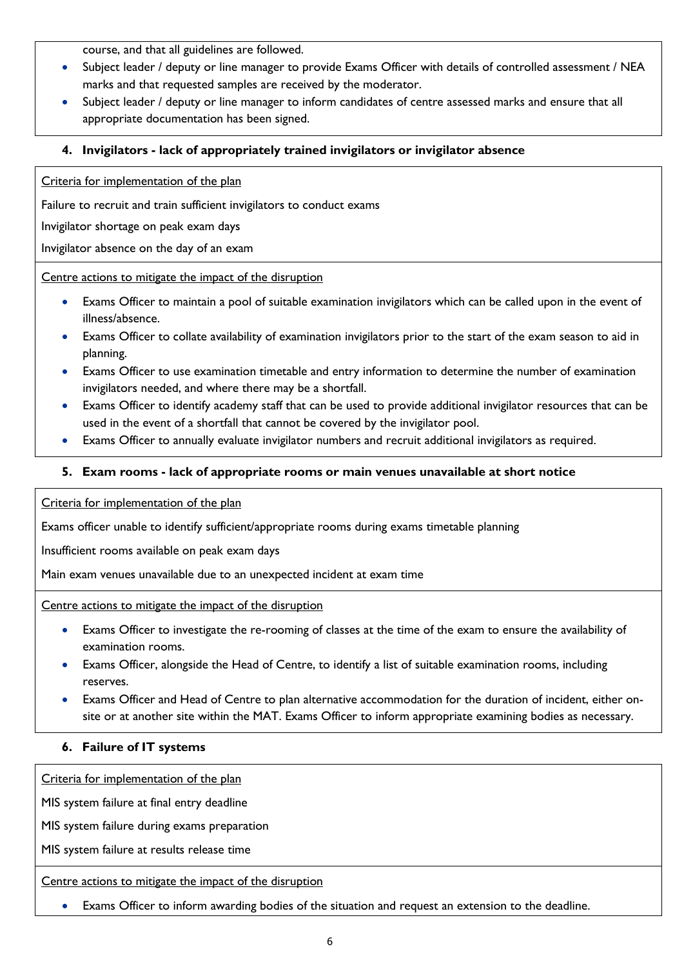course, and that all guidelines are followed.

- Subject leader / deputy or line manager to provide Exams Officer with details of controlled assessment / NEA marks and that requested samples are received by the moderator.
- Subject leader / deputy or line manager to inform candidates of centre assessed marks and ensure that all appropriate documentation has been signed.

# <span id="page-5-0"></span>**4. Invigilators - lack of appropriately trained invigilators or invigilator absence**

Criteria for implementation of the plan

Failure to recruit and train sufficient invigilators to conduct exams

Invigilator shortage on peak exam days

Invigilator absence on the day of an exam

Centre actions to mitigate the impact of the disruption

- Exams Officer to maintain a pool of suitable examination invigilators which can be called upon in the event of illness/absence.
- Exams Officer to collate availability of examination invigilators prior to the start of the exam season to aid in planning.
- Exams Officer to use examination timetable and entry information to determine the number of examination invigilators needed, and where there may be a shortfall.
- Exams Officer to identify academy staff that can be used to provide additional invigilator resources that can be used in the event of a shortfall that cannot be covered by the invigilator pool.
- Exams Officer to annually evaluate invigilator numbers and recruit additional invigilators as required.

# <span id="page-5-1"></span>**5. Exam rooms - lack of appropriate rooms or main venues unavailable at short notice**

Criteria for implementation of the plan

Exams officer unable to identify sufficient/appropriate rooms during exams timetable planning

Insufficient rooms available on peak exam days

Main exam venues unavailable due to an unexpected incident at exam time

Centre actions to mitigate the impact of the disruption

- Exams Officer to investigate the re-rooming of classes at the time of the exam to ensure the availability of examination rooms.
- Exams Officer, alongside the Head of Centre, to identify a list of suitable examination rooms, including reserves.
- Exams Officer and Head of Centre to plan alternative accommodation for the duration of incident, either onsite or at another site within the MAT. Exams Officer to inform appropriate examining bodies as necessary.

# <span id="page-5-2"></span>**6. Failure of IT systems**

Criteria for implementation of the plan

MIS system failure at final entry deadline

MIS system failure during exams preparation

MIS system failure at results release time

Centre actions to mitigate the impact of the disruption

Exams Officer to inform awarding bodies of the situation and request an extension to the deadline.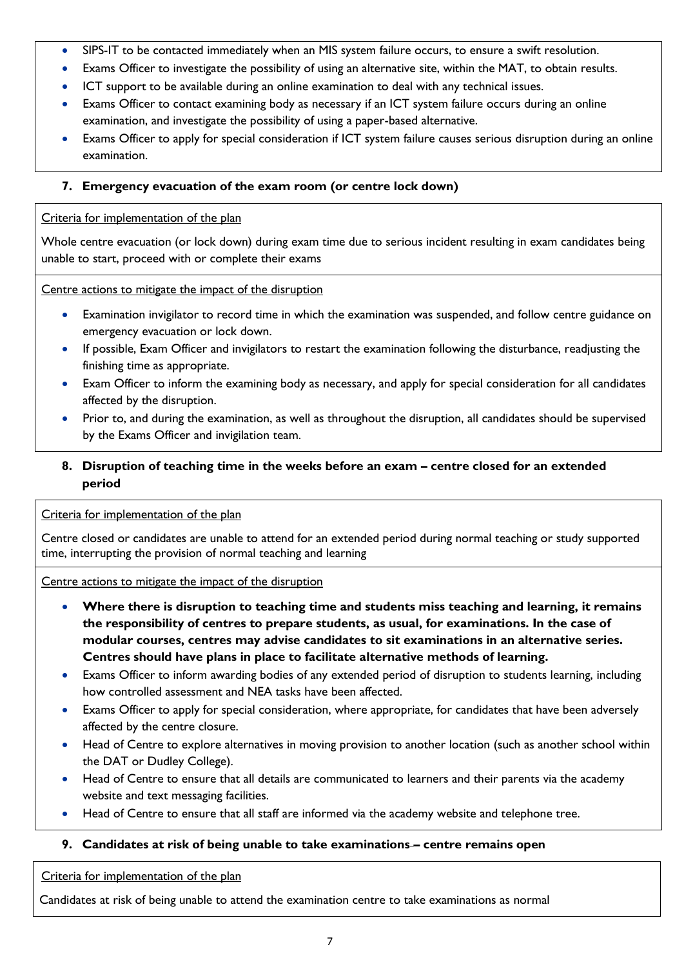- SIPS-IT to be contacted immediately when an MIS system failure occurs, to ensure a swift resolution.
- Exams Officer to investigate the possibility of using an alternative site, within the MAT, to obtain results.
- ICT support to be available during an online examination to deal with any technical issues.
- Exams Officer to contact examining body as necessary if an ICT system failure occurs during an online examination, and investigate the possibility of using a paper-based alternative.
- Exams Officer to apply for special consideration if ICT system failure causes serious disruption during an online examination.

# <span id="page-6-0"></span>**7. Emergency evacuation of the exam room (or centre lock down)**

# Criteria for implementation of the plan

Whole centre evacuation (or lock down) during exam time due to serious incident resulting in exam candidates being unable to start, proceed with or complete their exams

## Centre actions to mitigate the impact of the disruption

- Examination invigilator to record time in which the examination was suspended, and follow centre guidance on emergency evacuation or lock down.
- If possible, Exam Officer and invigilators to restart the examination following the disturbance, readjusting the finishing time as appropriate.
- Exam Officer to inform the examining body as necessary, and apply for special consideration for all candidates affected by the disruption.
- Prior to, and during the examination, as well as throughout the disruption, all candidates should be supervised by the Exams Officer and invigilation team.

# <span id="page-6-1"></span>**8. Disruption of teaching time in the weeks before an exam – centre closed for an extended period**

# Criteria for implementation of the plan

Centre closed or candidates are unable to attend for an extended period during normal teaching or study supported time, interrupting the provision of normal teaching and learning

# Centre actions to mitigate the impact of the disruption

- **Where there is disruption to teaching time and students miss teaching and learning, it remains the responsibility of centres to prepare students, as usual, for examinations. In the case of modular courses, centres may advise candidates to sit examinations in an alternative series. Centres should have plans in place to facilitate alternative methods of learning.**
- Exams Officer to inform awarding bodies of any extended period of disruption to students learning, including how controlled assessment and NEA tasks have been affected.
- Exams Officer to apply for special consideration, where appropriate, for candidates that have been adversely affected by the centre closure.
- Head of Centre to explore alternatives in moving provision to another location (such as another school within the DAT or Dudley College).
- Head of Centre to ensure that all details are communicated to learners and their parents via the academy website and text messaging facilities.
- Head of Centre to ensure that all staff are informed via the academy website and telephone tree.

# <span id="page-6-2"></span>**9. Candidates at risk of being unable to take examinations – centre remains open**

## Criteria for implementation of the plan

Candidates at risk of being unable to attend the examination centre to take examinations as normal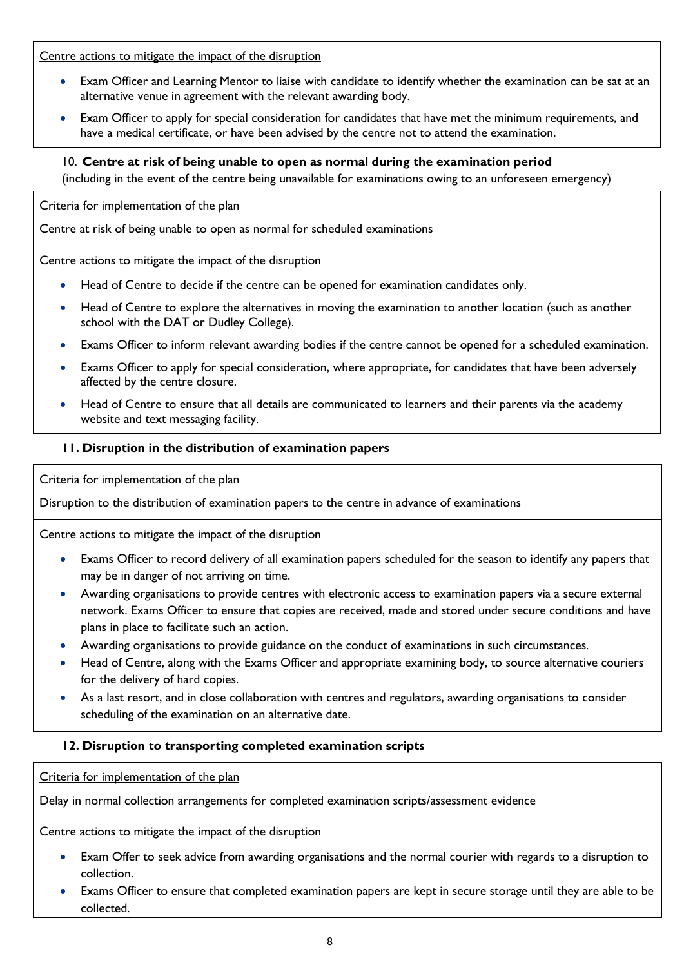Centre actions to mitigate the impact of the disruption

- Exam Officer and Learning Mentor to liaise with candidate to identify whether the examination can be sat at an alternative venue in agreement with the relevant awarding body.
- Exam Officer to apply for special consideration for candidates that have met the minimum requirements, and have a medical certificate, or have been advised by the centre not to attend the examination.

## <span id="page-7-0"></span>10. **Centre at risk of being unable to open as normal during the examination period**

(including in the event of the centre being unavailable for examinations owing to an unforeseen emergency)

Criteria for implementation of the plan

Centre at risk of being unable to open as normal for scheduled examinations

Centre actions to mitigate the impact of the disruption

- Head of Centre to decide if the centre can be opened for examination candidates only.
- Head of Centre to explore the alternatives in moving the examination to another location (such as another school with the DAT or Dudley College).
- Exams Officer to inform relevant awarding bodies if the centre cannot be opened for a scheduled examination.
- Exams Officer to apply for special consideration, where appropriate, for candidates that have been adversely affected by the centre closure.
- Head of Centre to ensure that all details are communicated to learners and their parents via the academy website and text messaging facility.

## <span id="page-7-1"></span>**11. Disruption in the distribution of examination papers**

Criteria for implementation of the plan

Disruption to the distribution of examination papers to the centre in advance of examinations

Centre actions to mitigate the impact of the disruption

- Exams Officer to record delivery of all examination papers scheduled for the season to identify any papers that may be in danger of not arriving on time.
- Awarding organisations to provide centres with electronic access to examination papers via a secure external network. Exams Officer to ensure that copies are received, made and stored under secure conditions and have plans in place to facilitate such an action.
- Awarding organisations to provide guidance on the conduct of examinations in such circumstances.
- Head of Centre, along with the Exams Officer and appropriate examining body, to source alternative couriers for the delivery of hard copies.
- As a last resort, and in close collaboration with centres and regulators, awarding organisations to consider scheduling of the examination on an alternative date.

# <span id="page-7-2"></span>**12. Disruption to transporting completed examination scripts**

Criteria for implementation of the plan

Delay in normal collection arrangements for completed examination scripts/assessment evidence

- Exam Offer to seek advice from awarding organisations and the normal courier with regards to a disruption to collection.
- Exams Officer to ensure that completed examination papers are kept in secure storage until they are able to be collected.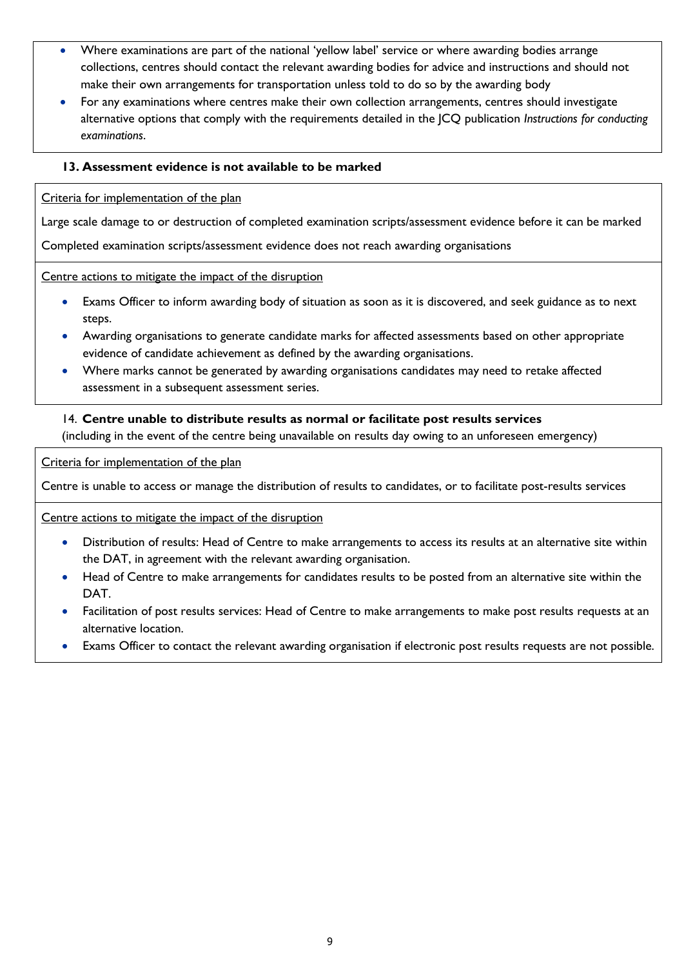- Where examinations are part of the national 'yellow label' service or where awarding bodies arrange collections, centres should contact the relevant awarding bodies for advice and instructions and should not make their own arrangements for transportation unless told to do so by the awarding body
- For any examinations where centres make their own collection arrangements, centres should investigate alternative options that comply with the requirements detailed in the JCQ publication *Instructions for conducting examinations*.

## <span id="page-8-0"></span>**13. Assessment evidence is not available to be marked**

## Criteria for implementation of the plan

Large scale damage to or destruction of completed examination scripts/assessment evidence before it can be marked

Completed examination scripts/assessment evidence does not reach awarding organisations

## Centre actions to mitigate the impact of the disruption

- Exams Officer to inform awarding body of situation as soon as it is discovered, and seek guidance as to next steps.
- Awarding organisations to generate candidate marks for affected assessments based on other appropriate evidence of candidate achievement as defined by the awarding organisations.
- Where marks cannot be generated by awarding organisations candidates may need to retake affected assessment in a subsequent assessment series.

## <span id="page-8-1"></span>14. **Centre unable to distribute results as normal or facilitate post results services**

(including in the event of the centre being unavailable on results day owing to an unforeseen emergency)

Criteria for implementation of the plan

Centre is unable to access or manage the distribution of results to candidates, or to facilitate post-results services

- Distribution of results: Head of Centre to make arrangements to access its results at an alternative site within the DAT, in agreement with the relevant awarding organisation.
- Head of Centre to make arrangements for candidates results to be posted from an alternative site within the DAT.
- Facilitation of post results services: Head of Centre to make arrangements to make post results requests at an alternative location.
- Exams Officer to contact the relevant awarding organisation if electronic post results requests are not possible.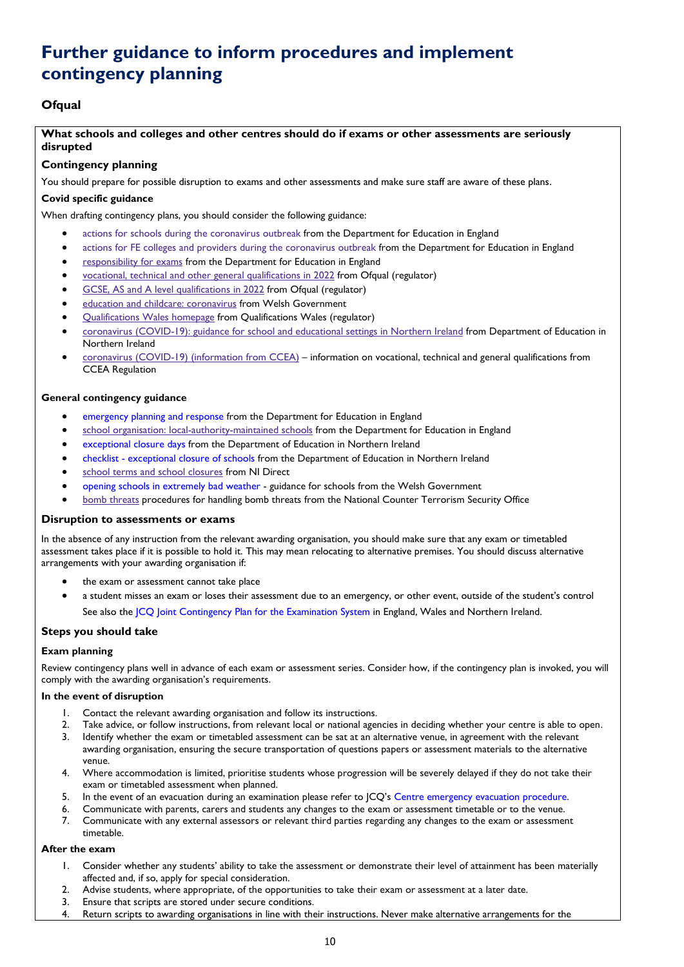# <span id="page-9-0"></span>**Further guidance to inform procedures and implement contingency planning**

# <span id="page-9-1"></span>**Ofqual**

## **What schools and colleges and other centres should do if exams or other assessments are seriously disrupted**

## **Contingency planning**

You should prepare for possible disruption to exams and other assessments and make sure staff are aware of these plans.

## **Covid specific guidance**

When drafting contingency plans, you should consider the following guidance:

- actions for schools during the [coronavirus](https://www.gov.uk/government/publications/actions-for-schools-during-the-coronavirus-outbreak) outbreak from the Department for Education in England
- actions for FE colleges and providers during the [coronavirus](https://www.gov.uk/government/publications/coronavirus-covid-19-maintaining-further-education-provision) outbreak from the Department for Education in England
- [responsibility](https://www.gov.uk/government/publications/responsibility-for-autumn-gcse-as-and-a-level-exam-series) for exams from the Department for Education in England
- vocational, technical and other general [qualifications](https://www.gov.uk/government/collections/vocational-technical-and-other-general-qualifications-in-2022) in 2022 from Ofqual (regulator)
- GCSE, AS and A level [qualifications](https://www.gov.uk/government/collections/gcse-as-and-a-level-qualifications-in-2022) in 2022 from Ofqual (regulator)
- education and childcare: [coronavirus](https://gov.wales/education-coronavirus) from Welsh Government
- [Qualifications](https://www.qualificationswales.org/english/) Wales homepage from Qualifications Wales (regulator)
- coronavirus [\(COVID-19\):](https://www.education-ni.gov.uk/publications/coronavirus-covid-19-guidance-school-and-educational-settings-northern-ireland) guidance for school and educational settings in Northern Ireland from Department of Education in Northern Ireland
- coronavirus [\(COVID-19\)](https://ccea.org.uk/regulation/coronavirus) (information from CCEA) information on vocational, technical and general qualifications from CCEA Regulation

### **General contingency guidance**

- [emergency](https://www.gov.uk/guidance/emergencies-and-severe-weather-schools-and-early-years-settings) planning and response from the Department for Education in England
- school organisation: [local-authority-maintained](https://www.gov.uk/government/publications/school-organisation-maintained-schools) schools from the Department for Education in England
- [exceptional](https://www.education-ni.gov.uk/articles/exceptional-closure-days) closure days from the Department of Education in Northern Ireland
- checklist [exceptional](https://www.education-ni.gov.uk/publications/checklist-exceptional-closure-schools) closure of schools from the Department of Education in Northern Ireland
- school terms and school [closures](https://www.nidirect.gov.uk/articles/school-terms-and-school-closures) from NI Direct
- opening schools in [extremely](https://gov.wales/opening-schools-extremely-bad-weather-guidance-schools) bad weather guidance for schools from the Welsh Government
- bomb [threats](https://www.gov.uk/government/publications/crowded-places-guidance/bomb-threats) procedures for handling bomb threats from the National Counter Terrorism Security Office

#### **Disruption to assessments or exams**

In the absence of any instruction from the relevant awarding organisation, you should make sure that any exam or timetabled assessment takes place if it is possible to hold it. This may mean relocating to alternative premises. You should discuss alternative arrangements with your awarding organisation if:

- the exam or assessment cannot take place
- a student misses an exam or loses their assessment due to an emergency, or other event, outside of the student's control See also the ICQ Joint [Contingency](https://www.jcq.org.uk/exams-office/other-documents/jcq-joint-contingency-plan/) Plan for the Examination System in England, Wales and Northern Ireland.

## **Steps you should take**

## **Exam planning**

Review contingency plans well in advance of each exam or assessment series. Consider how, if the contingency plan is invoked, you will comply with the awarding organisation's requirements.

#### **In the event of disruption**

- 1. Contact the relevant awarding organisation and follow its instructions.
- 2. Take advice, or follow instructions, from relevant local or national agencies in deciding whether your centre is able to open.
- 3. Identify whether the exam or timetabled assessment can be sat at an alternative venue, in agreement with the relevant awarding organisation, ensuring the secure transportation of questions papers or assessment materials to the alternative venue.
- 4. Where accommodation is limited, prioritise students whose progression will be severely delayed if they do not take their exam or timetabled assessment when planned.
- 5. In the event of an evacuation during an examination please refer to JCQ's Centre emergency evacuation [procedure.](https://www.jcq.org.uk/exams-office/ice---instructions-for-conducting-examinations/centre-emergency-evacuation-procedure)
- 6. Communicate with parents, carers and students any changes to the exam or assessment timetable or to the venue.
- 7. Communicate with any external assessors or relevant third parties regarding any changes to the exam or assessment timetable.

#### **After the exam**

- 1. Consider whether any students' ability to take the assessment or demonstrate their level of attainment has been materially affected and, if so, apply for special consideration.
- 2. Advise students, where appropriate, of the opportunities to take their exam or assessment at a later date.
- 3. Ensure that scripts are stored under secure conditions.
- 4. Return scripts to awarding organisations in line with their instructions. Never make alternative arrangements for the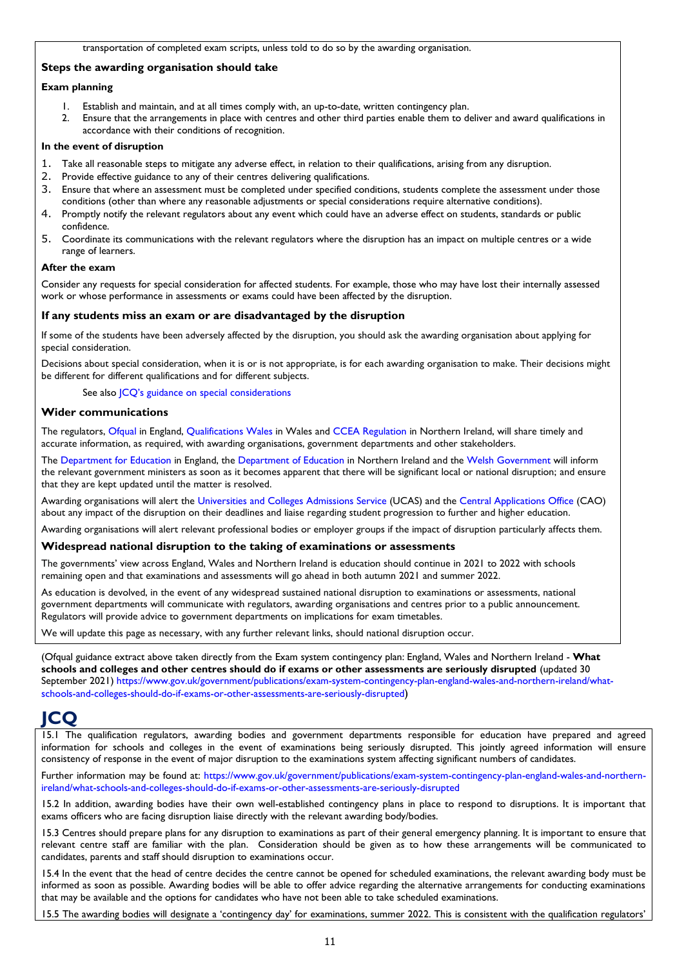## **Steps the awarding organisation should take**

### **Exam planning**

- 1. Establish and maintain, and at all times comply with, an up-to-date, written contingency plan.
- 2. Ensure that the arrangements in place with centres and other third parties enable them to deliver and award qualifications in accordance with their conditions of recognition.

### **In the event of disruption**

- Take all reasonable steps to mitigate any adverse effect, in relation to their qualifications, arising from any disruption.
- 2. Provide effective guidance to any of their centres delivering qualifications.
- 3. Ensure that where an assessment must be completed under specified conditions, students complete the assessment under those conditions (other than where any reasonable adjustments or special considerations require alternative conditions).
- 4. Promptly notify the relevant regulators about any event which could have an adverse effect on students, standards or public confidence.
- 5. Coordinate its communications with the relevant regulators where the disruption has an impact on multiple centres or a wide range of learners.

#### **After the exam**

Consider any requests for special consideration for affected students. For example, those who may have lost their internally assessed work or whose performance in assessments or exams could have been affected by the disruption.

### **If any students miss an exam or are disadvantaged by the disruption**

If some of the students have been adversely affected by the disruption, you should ask the awarding organisation about applying for special consideration.

Decisions about special consideration, when it is or is not appropriate, is for each awarding organisation to make. Their decisions might be different for different qualifications and for different subjects.

See also JCQ's guidance on special [considerations](https://www.jcq.org.uk/exams-office/access-arrangements-and-special-consideration/regulations-and-guidance)

### **Wider communications**

The regulators, [Ofqual](https://www.gov.uk/ofqual) in England, [Qualifications](http://qualificationswales.org/) Wales in Wales and CCEA [Regulation](http://ccea.org.uk/) in Northern Ireland, will share timely and accurate information, as required, with awarding organisations, government departments and other stakeholders.

Th[e Department](https://www.gov.uk/government/organisations/department-for-education) for Education in England, the [Department](https://www.education-ni.gov.uk/) of Education in Northern Ireland and the Welsh [Government](http://gov.wales/topics/educationandskills/?lang=en) will inform the relevant government ministers as soon as it becomes apparent that there will be significant local or national disruption; and ensure that they are kept updated until the matter is resolved.

Awarding organisations will alert the [Universities](https://www.ucas.com/) and Colleges Admissions Service (UCAS) and the Central [Applications](http://www.cao.ie/) Office (CAO) about any impact of the disruption on their deadlines and liaise regarding student progression to further and higher education.

Awarding organisations will alert relevant professional bodies or employer groups if the impact of disruption particularly affects them.

#### **Widespread national disruption to the taking of examinations or assessments**

The governments' view across England, Wales and Northern Ireland is education should continue in 2021 to 2022 with schools remaining open and that examinations and assessments will go ahead in both autumn 2021 and summer 2022.

As education is devolved, in the event of any widespread sustained national disruption to examinations or assessments, national government departments will communicate with regulators, awarding organisations and centres prior to a public announcement. Regulators will provide advice to government departments on implications for exam timetables.

We will update this page as necessary, with any further relevant links, should national disruption occur.

(Ofqual guidance extract above taken directly from the Exam system contingency plan: England, Wales and Northern Ireland - **What schools and colleges and other centres should do if exams or other assessments are seriously disrupted** (updated 30 September 2021) [https://www.gov.uk/government/publications/exam-system-contingency-plan-england-wales-and-northern-ireland/what](https://www.gov.uk/government/publications/exam-system-contingency-plan-england-wales-and-northern-ireland/what-schools-and-colleges-should-do-if-exams-or-other-assessments-are-seriously-disrupted)[schools-and-colleges-should-do-if-exams-or-other-assessments-are-seriously-disrupted](https://www.gov.uk/government/publications/exam-system-contingency-plan-england-wales-and-northern-ireland/what-schools-and-colleges-should-do-if-exams-or-other-assessments-are-seriously-disrupted))

# <span id="page-10-0"></span>**JCQ**

15.1 The qualification regulators, awarding bodies and government departments responsible for education have prepared and agreed information for schools and colleges in the event of examinations being seriously disrupted. This jointly agreed information will ensure consistency of response in the event of major disruption to the examinations system affecting significant numbers of candidates.

Further information may be found at: [https://www.gov.uk/government/publications/exam-system-contingency-plan-england-wales-and-northern](https://www.gov.uk/government/publications/exam-system-contingency-plan-england-wales-and-northern-ireland/what-schools-and-colleges-should-do-if-exams-or-other-assessments-are-seriously-disrupted)[ireland/what-schools-and-colleges-should-do-if-exams-or-other-assessments-are-seriously-disrupted](https://www.gov.uk/government/publications/exam-system-contingency-plan-england-wales-and-northern-ireland/what-schools-and-colleges-should-do-if-exams-or-other-assessments-are-seriously-disrupted)

15.2 In addition, awarding bodies have their own well-established contingency plans in place to respond to disruptions. It is important that exams officers who are facing disruption liaise directly with the relevant awarding body/bodies.

15.3 Centres should prepare plans for any disruption to examinations as part of their general emergency planning. It is important to ensure that relevant centre staff are familiar with the plan. Consideration should be given as to how these arrangements will be communicated to candidates, parents and staff should disruption to examinations occur.

15.4 In the event that the head of centre decides the centre cannot be opened for scheduled examinations, the relevant awarding body must be informed as soon as possible. Awarding bodies will be able to offer advice regarding the alternative arrangements for conducting examinations that may be available and the options for candidates who have not been able to take scheduled examinations.

15.5 The awarding bodies will designate a 'contingency day' for examinations, summer 2022. This is consistent with the qualification regulators'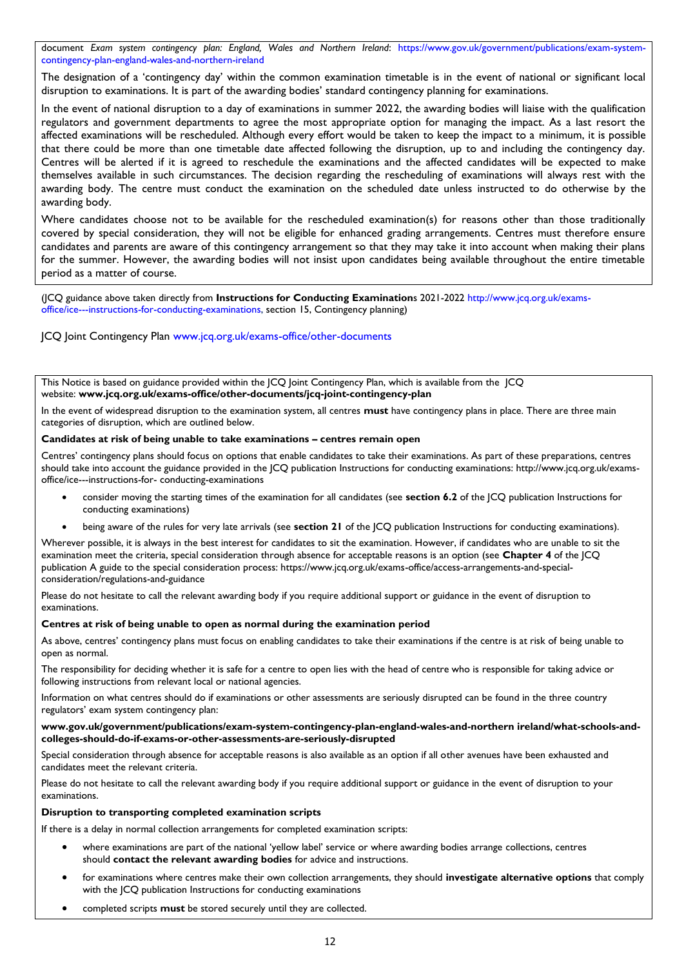document *Exam system contingency plan: England, Wales and Northern Ireland*: [https://www.gov.uk/government/publications/exam-system](https://www.gov.uk/government/publications/exam-system-contingency-plan-england-wales-and-northern-ireland)[contingency-plan-england-wales-and-northern-ireland](https://www.gov.uk/government/publications/exam-system-contingency-plan-england-wales-and-northern-ireland)

The designation of a 'contingency day' within the common examination timetable is in the event of national or significant local disruption to examinations. It is part of the awarding bodies' standard contingency planning for examinations.

In the event of national disruption to a day of examinations in summer 2022, the awarding bodies will liaise with the qualification regulators and government departments to agree the most appropriate option for managing the impact. As a last resort the affected examinations will be rescheduled. Although every effort would be taken to keep the impact to a minimum, it is possible that there could be more than one timetable date affected following the disruption, up to and including the contingency day. Centres will be alerted if it is agreed to reschedule the examinations and the affected candidates will be expected to make themselves available in such circumstances. The decision regarding the rescheduling of examinations will always rest with the awarding body. The centre must conduct the examination on the scheduled date unless instructed to do otherwise by the awarding body.

Where candidates choose not to be available for the rescheduled examination(s) for reasons other than those traditionally covered by special consideration, they will not be eligible for enhanced grading arrangements. Centres must therefore ensure candidates and parents are aware of this contingency arrangement so that they may take it into account when making their plans for the summer. However, the awarding bodies will not insist upon candidates being available throughout the entire timetable period as a matter of course.

(JCQ guidance above taken directly from **Instructions for Conducting Examination**s 2021-2022 [http://www.jcq.org.uk/exams](http://www.jcq.org.uk/exams-office/ice---instructions-for-conducting-examinations)[office/ice---instructions-for-conducting-examinations,](http://www.jcq.org.uk/exams-office/ice---instructions-for-conducting-examinations) section 15, Contingency planning)

JCQ Joint Contingency Plan [www.jcq.org.uk/exams-office/other-documents](http://www.jcq.org.uk/exams-office/other-documents)

This Notice is based on guidance provided within the JCQ Joint Contingency Plan, which is available from the JCQ website: **[www.jcq.org.uk/exams-office/other-documents/jcq-joint-contingency-plan](https://www.jcq.org.uk/exams-office/other-documents/jcq-joint-contingency-plan)**

In the event of widespread disruption to the examination system, all centres **must** have contingency plans in place. There are three main categories of disruption, which are outlined below.

#### **Candidates at risk of being unable to take examinations – centres remain open**

Centres' contingency plans should focus on options that enable candidates to take their examinations. As part of these preparations, centres should take into account the guidance provided in the JCQ publication Instructions for conducting examinations: http://www.jcq.org.uk/examsoffice/ice---instructions-for- conducting-examinations

- consider moving the starting times of the examination for all candidates (see **section 6.2** of the JCQ publication Instructions for conducting examinations)
- being aware of the rules for very late arrivals (see **section 21** of the JCQ publication Instructions for conducting examinations).

Wherever possible, it is always in the best interest for candidates to sit the examination. However, if candidates who are unable to sit the examination meet the criteria, special consideration through absence for acceptable reasons is an option (see **Chapter 4** of the JCQ publication A guide to the special consideration process: https://www.jcq.org.uk/exams-office/access-arrangements-and-specialconsideration/regulations-and-guidance

Please do not hesitate to call the relevant awarding body if you require additional support or guidance in the event of disruption to examinations.

#### **Centres at risk of being unable to open as normal during the examination period**

As above, centres' contingency plans must focus on enabling candidates to take their examinations if the centre is at risk of being unable to open as normal.

The responsibility for deciding whether it is safe for a centre to open lies with the head of centre who is responsible for taking advice or following instructions from relevant local or national agencies.

Information on what centres should do if examinations or other assessments are seriously disrupted can be found in the three country regulators' exam system contingency plan:

**[www.gov.uk/government/publications/exam-system-contingency-plan-england-wales-and-northern ireland/what-schools-and](https://www.gov.uk/government/publications/exam-system-contingency-plan-england-wales-and-northern-ireland/what-schools-and-colleges-should-do-if-exams-or-other-assessments-are-seriously-disrupted)[colleges-should-do-if-exams-or-other-assessments-are-seriously-disrupted](https://www.gov.uk/government/publications/exam-system-contingency-plan-england-wales-and-northern-ireland/what-schools-and-colleges-should-do-if-exams-or-other-assessments-are-seriously-disrupted)**

Special consideration through absence for acceptable reasons is also available as an option if all other avenues have been exhausted and candidates meet the relevant criteria.

Please do not hesitate to call the relevant awarding body if you require additional support or guidance in the event of disruption to your examinations.

#### **Disruption to transporting completed examination scripts**

If there is a delay in normal collection arrangements for completed examination scripts:

- where examinations are part of the national 'yellow label' service or where awarding bodies arrange collections, centres should **contact the relevant awarding bodies** for advice and instructions.
- for examinations where centres make their own collection arrangements, they should **investigate alternative options** that comply with the ICO publication Instructions for conducting examinations
- completed scripts **must** be stored securely until they are collected.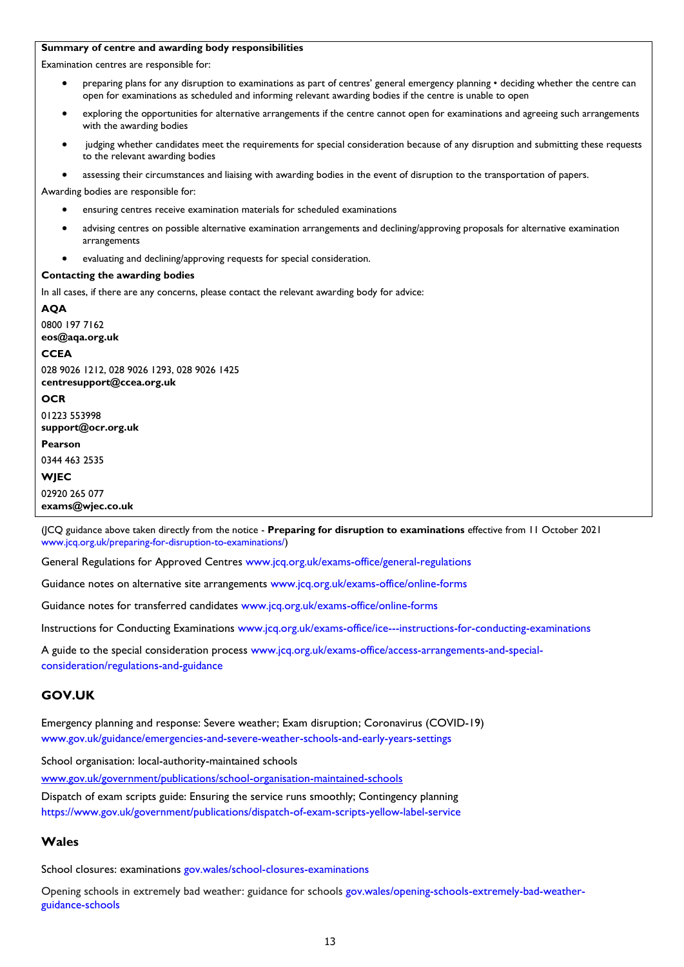### **Summary of centre and awarding body responsibilities**

Examination centres are responsible for:

- preparing plans for any disruption to examinations as part of centres' general emergency planning deciding whether the centre can open for examinations as scheduled and informing relevant awarding bodies if the centre is unable to open
- exploring the opportunities for alternative arrangements if the centre cannot open for examinations and agreeing such arrangements with the awarding bodies
- judging whether candidates meet the requirements for special consideration because of any disruption and submitting these requests to the relevant awarding bodies
- assessing their circumstances and liaising with awarding bodies in the event of disruption to the transportation of papers.

Awarding bodies are responsible for:

- ensuring centres receive examination materials for scheduled examinations
- advising centres on possible alternative examination arrangements and declining/approving proposals for alternative examination arrangements
- evaluating and declining/approving requests for special consideration.

#### **Contacting the awarding bodies**

In all cases, if there are any concerns, please contact the relevant awarding body for advice:

### **AQA**

0800 197 7162 **[eos@aqa.org.uk](mailto:eos@aqa.org.uk) CCEA** 028 9026 1212, 028 9026 1293, 028 9026 1425

**[centresupport@ccea.org.uk](mailto:centresupport@ccea.org.uk)**

**OCR**

01223 553998 **[support@ocr.org.uk](mailto:support@ocr.org.uk)**

**Pearson**

0344 463 2535

# **WJEC**

02920 265 077 **[exams@wjec.co.uk](mailto:exams@wjec.co.uk)**

(JCQ guidance above taken directly from the notice - **Preparing for disruption to examinations** effective from 11 October 2021 [www.jcq.org.uk/preparing-for-disruption-to-examinations/\)](http://www.jcq.org.uk/preparing-for-disruption-to-examinations/)

General Regulations for Approved Centres [www.jcq.org.uk/exams-office/general-regulations](http://www.jcq.org.uk/exams-office/general-regulations)

Guidance notes on alternative site arrangements [www.jcq.org.uk/exams-office/online-forms](http://www.jcq.org.uk/exams-office/online-forms)

Guidance notes for transferred candidates [www.jcq.org.uk/exams-office/online-forms](http://www.jcq.org.uk/exams-office/online-forms)

Instructions for Conducting Examinations [www.jcq.org.uk/exams-office/ice---instructions-for-conducting-examinations](http://www.jcq.org.uk/exams-office/ice---instructions-for-conducting-examinations) 

A guide to the special consideration process [www.jcq.org.uk/exams-office/access-arrangements-and-special](http://www.jcq.org.uk/exams-office/access-arrangements-and-special-consideration/regulations-and-guidance)[consideration/regulations-and-guidance](http://www.jcq.org.uk/exams-office/access-arrangements-and-special-consideration/regulations-and-guidance)

## <span id="page-12-0"></span>**GOV.UK**

Emergency planning and response: Severe weather; Exam disruption; Coronavirus (COVID-19) [www.gov.uk/guidance/emergencies-and-severe-weather-schools-and-early-years-settings](http://www.gov.uk/guidance/emergencies-and-severe-weather-schools-and-early-years-settings)

School organisation: local-authority-maintained schools

[www.gov.uk/government/publications/school-organisation-maintained-schools](http://www.gov.uk/government/publications/school-organisation-maintained-schools)

Dispatch of exam scripts guide: Ensuring the service runs smoothly; Contingency planning <https://www.gov.uk/government/publications/dispatch-of-exam-scripts-yellow-label-service>

## <span id="page-12-1"></span>**Wales**

School closures: examinations [gov.wales/school-closures-examinations](https://gov.wales/school-closures-examinations)

Opening schools in extremely bad weather: guidance for schools [gov.wales/opening-schools-extremely-bad-weather](https://gov.wales/opening-schools-extremely-bad-weather-guidance-schools)[guidance-schools](https://gov.wales/opening-schools-extremely-bad-weather-guidance-schools)